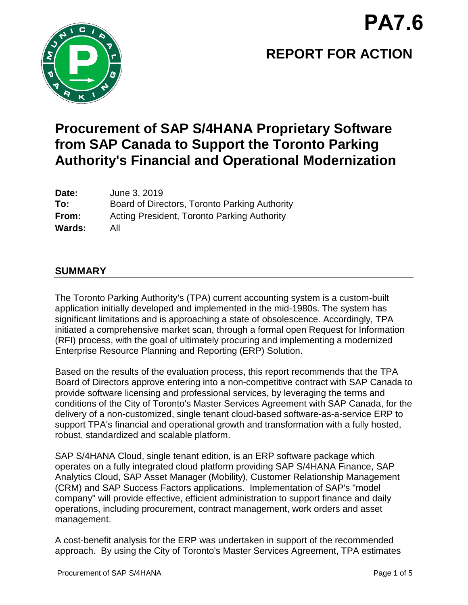

# **REPORT FOR ACTION**

## **Procurement of SAP S/4HANA Proprietary Software from SAP Canada to Support the Toronto Parking Authority's Financial and Operational Modernization**

| Date:  | June 3, 2019                                       |
|--------|----------------------------------------------------|
| To:    | Board of Directors, Toronto Parking Authority      |
| From:  | <b>Acting President, Toronto Parking Authority</b> |
| Wards: | All                                                |

## **SUMMARY**

The Toronto Parking Authority's (TPA) current accounting system is a custom-built application initially developed and implemented in the mid-1980s. The system has significant limitations and is approaching a state of obsolescence. Accordingly, TPA initiated a comprehensive market scan, through a formal open Request for Information (RFI) process, with the goal of ultimately procuring and implementing a modernized Enterprise Resource Planning and Reporting (ERP) Solution.

Based on the results of the evaluation process, this report recommends that the TPA Board of Directors approve entering into a non-competitive contract with SAP Canada to provide software licensing and professional services, by leveraging the terms and conditions of the City of Toronto's Master Services Agreement with SAP Canada, for the delivery of a non-customized, single tenant cloud-based software-as-a-service ERP to support TPA's financial and operational growth and transformation with a fully hosted, robust, standardized and scalable platform.

SAP S/4HANA Cloud, single tenant edition, is an ERP software package which operates on a fully integrated cloud platform providing SAP S/4HANA Finance, SAP Analytics Cloud, SAP Asset Manager (Mobility), Customer Relationship Management (CRM) and SAP Success Factors applications. Implementation of SAP's "model company" will provide effective, efficient administration to support finance and daily operations, including procurement, contract management, work orders and asset management.

A cost-benefit analysis for the ERP was undertaken in support of the recommended approach. By using the City of Toronto's Master Services Agreement, TPA estimates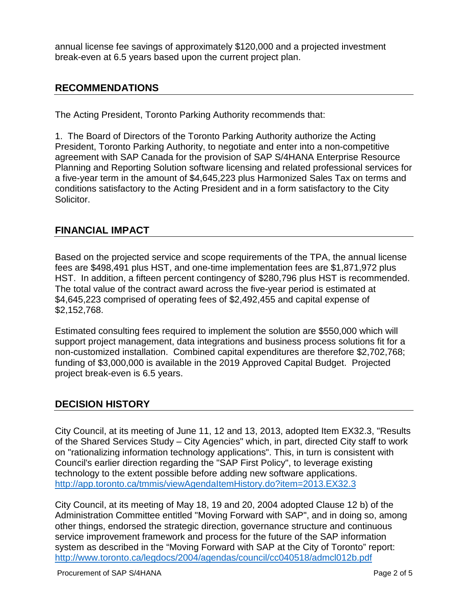annual license fee savings of approximately \$120,000 and a projected investment break-even at 6.5 years based upon the current project plan.

## **RECOMMENDATIONS**

The Acting President, Toronto Parking Authority recommends that:

1. The Board of Directors of the Toronto Parking Authority authorize the Acting President, Toronto Parking Authority, to negotiate and enter into a non-competitive agreement with SAP Canada for the provision of SAP S/4HANA Enterprise Resource Planning and Reporting Solution software licensing and related professional services for a five-year term in the amount of \$4,645,223 plus Harmonized Sales Tax on terms and conditions satisfactory to the Acting President and in a form satisfactory to the City Solicitor.

## **FINANCIAL IMPACT**

Based on the projected service and scope requirements of the TPA, the annual license fees are \$498,491 plus HST, and one-time implementation fees are \$1,871,972 plus HST. In addition, a fifteen percent contingency of \$280,796 plus HST is recommended. The total value of the contract award across the five-year period is estimated at \$4,645,223 comprised of operating fees of \$2,492,455 and capital expense of \$2,152,768.

Estimated consulting fees required to implement the solution are \$550,000 which will support project management, data integrations and business process solutions fit for a non-customized installation. Combined capital expenditures are therefore \$2,702,768; funding of \$3,000,000 is available in the 2019 Approved Capital Budget. Projected project break-even is 6.5 years.

## **DECISION HISTORY**

City Council, at its meeting of June 11, 12 and 13, 2013, adopted Item EX32.3, "Results of the Shared Services Study – City Agencies" which, in part, directed City staff to work on "rationalizing information technology applications". This, in turn is consistent with Council's earlier direction regarding the "SAP First Policy", to leverage existing technology to the extent possible before adding new software applications. <http://app.toronto.ca/tmmis/viewAgendaItemHistory.do?item=2013.EX32.3>

City Council, at its meeting of May 18, 19 and 20, 2004 adopted Clause 12 b) of the Administration Committee entitled "Moving Forward with SAP", and in doing so, among other things, endorsed the strategic direction, governance structure and continuous service improvement framework and process for the future of the SAP information system as described in the "Moving Forward with SAP at the City of Toronto" report: <http://www.toronto.ca/legdocs/2004/agendas/council/cc040518/admcl012b.pdf>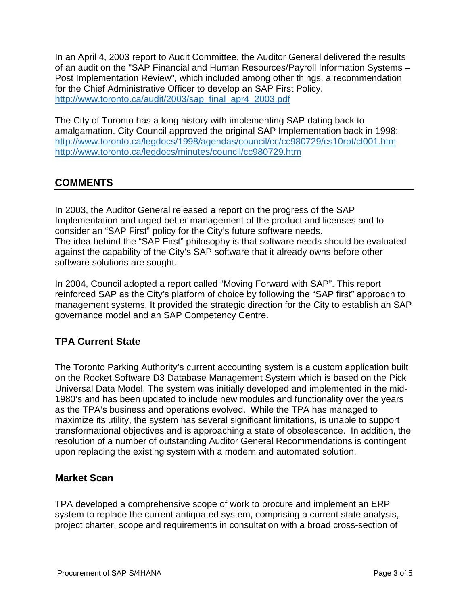In an April 4, 2003 report to Audit Committee, the Auditor General delivered the results of an audit on the "SAP Financial and Human Resources/Payroll Information Systems – Post Implementation Review", which included among other things, a recommendation for the Chief Administrative Officer to develop an SAP First Policy. [http://www.toronto.ca/audit/2003/sap\\_final\\_apr4\\_2003.pdf](http://www.toronto.ca/audit/2003/sap_final_apr4_2003.pdf)

The City of Toronto has a long history with implementing SAP dating back to amalgamation. City Council approved the original SAP Implementation back in 1998: <http://www.toronto.ca/legdocs/1998/agendas/council/cc/cc980729/cs10rpt/cl001.htm> <http://www.toronto.ca/legdocs/minutes/council/cc980729.htm>

## **COMMENTS**

In 2003, the Auditor General released a report on the progress of the SAP Implementation and urged better management of the product and licenses and to consider an "SAP First" policy for the City's future software needs. The idea behind the "SAP First" philosophy is that software needs should be evaluated against the capability of the City's SAP software that it already owns before other software solutions are sought.

In 2004, Council adopted a report called "Moving Forward with SAP". This report reinforced SAP as the City's platform of choice by following the "SAP first" approach to management systems. It provided the strategic direction for the City to establish an SAP governance model and an SAP Competency Centre.

## **TPA Current State**

The Toronto Parking Authority's current accounting system is a custom application built on the Rocket Software D3 Database Management System which is based on the Pick Universal Data Model. The system was initially developed and implemented in the mid-1980's and has been updated to include new modules and functionality over the years as the TPA's business and operations evolved. While the TPA has managed to maximize its utility, the system has several significant limitations, is unable to support transformational objectives and is approaching a state of obsolescence. In addition, the resolution of a number of outstanding Auditor General Recommendations is contingent upon replacing the existing system with a modern and automated solution.

## **Market Scan**

TPA developed a comprehensive scope of work to procure and implement an ERP system to replace the current antiquated system, comprising a current state analysis, project charter, scope and requirements in consultation with a broad cross-section of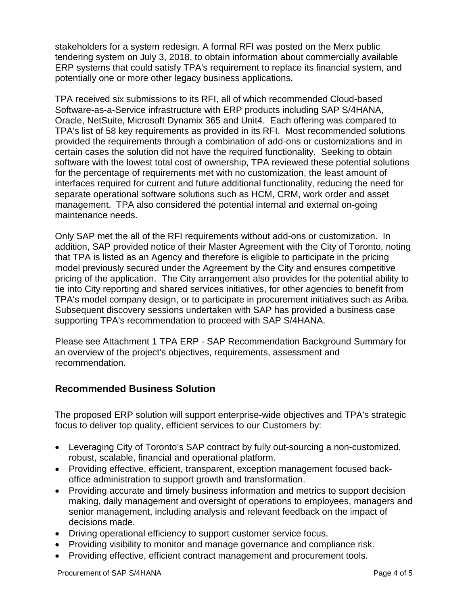stakeholders for a system redesign. A formal RFI was posted on the Merx public tendering system on July 3, 2018, to obtain information about commercially available ERP systems that could satisfy TPA's requirement to replace its financial system, and potentially one or more other legacy business applications.

TPA received six submissions to its RFI, all of which recommended Cloud-based Software-as-a-Service infrastructure with ERP products including SAP S/4HANA, Oracle, NetSuite, Microsoft Dynamix 365 and Unit4. Each offering was compared to TPA's list of 58 key requirements as provided in its RFI. Most recommended solutions provided the requirements through a combination of add-ons or customizations and in certain cases the solution did not have the required functionality. Seeking to obtain software with the lowest total cost of ownership, TPA reviewed these potential solutions for the percentage of requirements met with no customization, the least amount of interfaces required for current and future additional functionality, reducing the need for separate operational software solutions such as HCM, CRM, work order and asset management. TPA also considered the potential internal and external on-going maintenance needs.

Only SAP met the all of the RFI requirements without add-ons or customization. In addition, SAP provided notice of their Master Agreement with the City of Toronto, noting that TPA is listed as an Agency and therefore is eligible to participate in the pricing model previously secured under the Agreement by the City and ensures competitive pricing of the application. The City arrangement also provides for the potential ability to tie into City reporting and shared services initiatives, for other agencies to benefit from TPA's model company design, or to participate in procurement initiatives such as Ariba. Subsequent discovery sessions undertaken with SAP has provided a business case supporting TPA's recommendation to proceed with SAP S/4HANA.

Please see Attachment 1 TPA ERP - SAP Recommendation Background Summary for an overview of the project's objectives, requirements, assessment and recommendation.

## **Recommended Business Solution**

The proposed ERP solution will support enterprise-wide objectives and TPA's strategic focus to deliver top quality, efficient services to our Customers by:

- Leveraging City of Toronto's SAP contract by fully out-sourcing a non-customized, robust, scalable, financial and operational platform.
- Providing effective, efficient, transparent, exception management focused backoffice administration to support growth and transformation.
- Providing accurate and timely business information and metrics to support decision making, daily management and oversight of operations to employees, managers and senior management, including analysis and relevant feedback on the impact of decisions made.
- Driving operational efficiency to support customer service focus.
- Providing visibility to monitor and manage governance and compliance risk.
- Providing effective, efficient contract management and procurement tools.